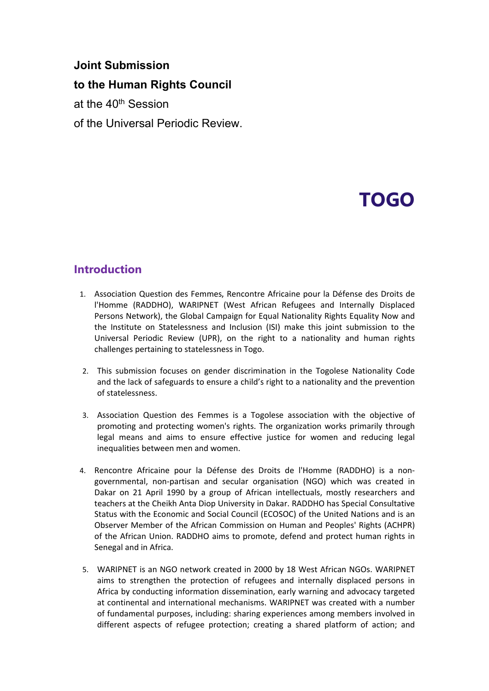# **Joint Submission**

**to the Human Rights Council**

at the 40<sup>th</sup> Session

of the Universal Periodic Review.

# **TOGO**

### **Introduction**

- 1. Association Question des Femmes, Rencontre Africaine pour la Défense des Droits de l'Homme (RADDHO), WARIPNET (West African Refugees and Internally Displaced Persons Network), the Global Campaign for Equal Nationality Rights Equality Now and the Institute on Statelessness and Inclusion (ISI) make this joint submission to the Universal Periodic Review (UPR), on the right to <sup>a</sup> nationality and human rights challenges pertaining to statelessness in Togo.
- 2. This submission focuses on gender discrimination in the Togolese Nationality Code and the lack of safeguards to ensure <sup>a</sup> child'<sup>s</sup> right to <sup>a</sup> nationality and the prevention of statelessness.
- 3. Association Question des Femmes is <sup>a</sup> Togolese association with the objective of promoting and protecting women's rights. The organization works primarily through legal means and aims to ensure effective justice for women and reducing legal inequalities between men and women.
- 4. Rencontre Africaine pour la Défense des Droits de l'Homme (RADDHO) is <sup>a</sup> nongovernmental, non-partisan and secular organisation (NGO) which was created in Dakar on 21 April 1990 by <sup>a</sup> group of African intellectuals, mostly researchers and teachers at the Cheikh Anta Diop University in Dakar. RADDHO has Special Consultative Status with the Economic and Social Council (ECOSOC) of the United Nations and is an Observer Member of the African Commission on Human and Peoples' Rights (ACHPR) of the African Union. RADDHO aims to promote, defend and protect human rights in Senegal and in Africa.
- 5. WARIPNET is an NGO network created in 2000 by 18 West African NGOs. WARIPNET aims to strengthen the protection of refugees and internally displaced persons in Africa by conducting information dissemination, early warning and advocacy targeted at continental and international mechanisms. WARIPNET was created with a number of fundamental purposes, including: sharing experiences among members involved in different aspects of refugee protection; creating <sup>a</sup> shared platform of action; and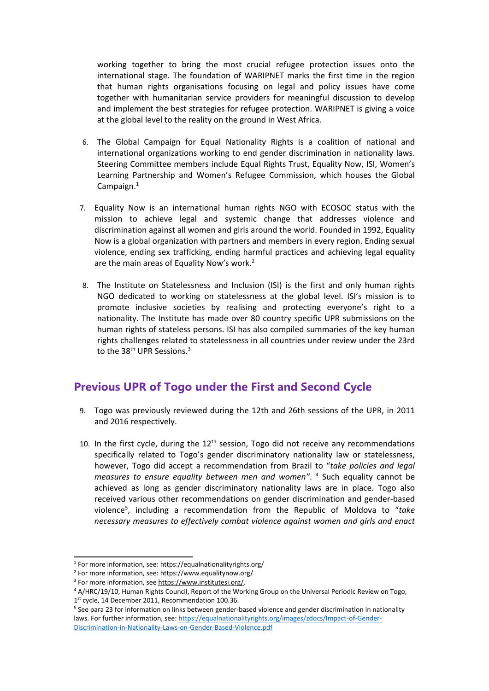working together to bring the most crucial refugee protection issues onto the international stage. The foundation of WARIPNET marks the first time in the region that human rights organisations focusing on legal and policy issues have come together with humanitarian service providers for meaningful discussion to develop and implement the best strategies for refugee protection. WARIPNET is giving <sup>a</sup> voice at the global level to the reality on the ground in West Africa.

- 6. The Global Campaign for Equal Nationality Rights is <sup>a</sup> coalition of national and international organizations working to end gender discrimination in nationality laws. Steering Committee members include Equal Rights Trust, Equality Now, ISI, Women'<sup>s</sup> Learning Partnership and Women'<sup>s</sup> Refugee Commission, which houses the Global Campaign. $^1$
- 7. Equality Now is an international human rights NGO with ECOSOC status with the mission to achieve legal and systemic change that addresses violence and discrimination against all women and girls around the world. Founded in 1992, Equality Now is <sup>a</sup> global organization with partners and members in every region. Ending sexual violence, ending sex trafficking, ending harmful practices and achieving legal equality are the main areas of Equality Now's work.<sup>2</sup>
- 8. The Institute on Statelessness and Inclusion (ISI) is the first and only human rights NGO dedicated to working on statelessness at the global level. ISI'<sup>s</sup> mission is to promote inclusive societies by realising and protecting everyone'<sup>s</sup> right to <sup>a</sup> nationality. The Institute has made over 80 country specific UPR submissions on the human rights of stateless persons. ISI has also compiled summaries of the key human rights challenges related to statelessness in all countries under review under the 23rd to the 38<sup>th</sup> UPR Sessions.<sup>3</sup>

## **Previous UPR of Togo under the First and Second Cycle**

- 9. Togo was previously reviewed during the 12th and 26th sessions of the UPR, in 2011 and 2016 respectively.
- 10. In the first cycle, during the  $12<sup>th</sup>$  session, Togo did not receive any recommendations specifically related to Togo'<sup>s</sup> gender discriminatory nationality law or statelessness, however, Togo did accept <sup>a</sup> recommendation from Brazil to "*take policies and legal measures to ensure equality between men and women"*. 4 Such equality cannot be achieved as long as gender discriminatory nationality laws are in place. Togo also received various other recommendations on gender discrimination and gender-based violence<sup>5</sup> , including <sup>a</sup> recommendation from the Republic of Moldova to "*take necessary measures to effectively combat violence against women and girls and enact*

<sup>1</sup> For more information, see: https://equalnationalityrights.org/

<sup>2</sup> For more information, see: https://www.equalitynow.org/

<sup>&</sup>lt;sup>3</sup> For more information, see <https://www.institutesi.org/>

<sup>4</sup> A/HRC/19/10, Human Rights Council, Report of the Working Group on the Universal Periodic Review on Togo, 1<sup>st</sup> cycle, 14 December 2011, Recommendation 100.36.

<sup>5</sup> See para 23 for information on links between gender-based violence and gender discrimination in nationality laws. For further information, see: [https://equalnationalityrights.org/images/zdocs/Impact-of-Gender-](https://equalnationalityrights.org/images/zdocs/Impact-of-Gender-Discrimination-in-Nationality-Laws-on-Gender-Based-Violence.pdf)[Discrimination-in-Nationality-Laws-on-Gender-Based-Violence.pdf](https://equalnationalityrights.org/images/zdocs/Impact-of-Gender-Discrimination-in-Nationality-Laws-on-Gender-Based-Violence.pdf)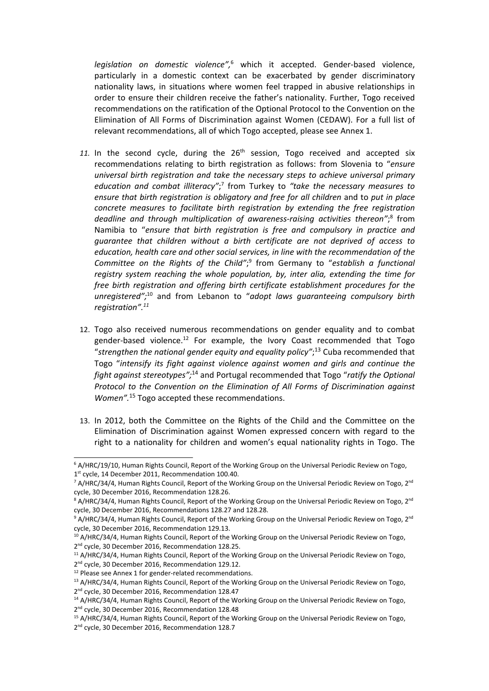*legislation on domestic violence",* 6 which it accepted. Gender-based violence, particularly in <sup>a</sup> domestic context can be exacerbated by gender discriminatory nationality laws, in situations where women feel trapped in abusive relationships in order to ensure their children receive the father'<sup>s</sup> nationality. Further, Togo received recommendations on the ratification of the Optional Protocol to the Convention on the Elimination of All Forms of Discrimination against Women (CEDAW). For <sup>a</sup> full list of relevant recommendations, all of which Togo accepted, please see Annex 1.

- 11. In the second cycle, during the  $26<sup>th</sup>$  session, Togo received and accepted six recommendations relating to birth registration as follows: from Slovenia to "*ensure universal birth registration and take the necessary steps to achieve universal primary education and combat illiteracy"*; 7 from Turkey to *"take the necessary measures to ensure that birth registration is obligatory and free for all children* and to *put in place concrete measures to facilitate birth registration by extending the free registration deadline and through multiplication of awareness-raising activities thereon"*; 8 from Namibia to "*ensure that birth registration is free and compulsory in practice and guarantee that children without <sup>a</sup> birth certificate are not deprived of access to education, health care and other social services, in line with the recommendation of the Committee on the Rights of the Child"*; 9 from Germany to "*establish <sup>a</sup> functional registry system reaching the whole population, by, inter alia, extending the time for free birth registration and offering birth certificate establishment procedures for the unregistered";* 10 and from Lebanon to "*adopt laws guaranteeing compulsory birth registration". 11*
- 12. Togo also received numerous recommendations on gender equality and to combat gender-based violence.<sup>12</sup> For example, the Ivory Coast recommended that Togo "*strengthen the national gender equity and equality policy"*; 13 Cuba recommended that Togo "*intensify its fight against violence against women and girls and continue the* fight *against stereotypes*<sup>",14</sup> and Portugal recommended that Togo "ratify the Optional *Protocol to the Convention on the Elimination of All Forms of Discrimination against Women".* 15 Togo accepted these recommendations.
- 13. In 2012, both the Committee on the Rights of the Child and the Committee on the Elimination of Discrimination against Women expressed concern with regard to the right to <sup>a</sup> nationality for children and women'<sup>s</sup> equal nationality rights in Togo. The

2<sup>nd</sup> cycle, 30 December 2016, Recommendation 129.12. <sup>12</sup> Please see Annex 1 for gender-related recommendations.

3

<sup>6</sup> A/HRC/19/10, Human Rights Council, Report of the Working Group on the Universal Periodic Review on Togo, 1<sup>st</sup> cycle, 14 December 2011, Recommendation 100.40.

<sup>&</sup>lt;sup>7</sup> A/HRC/34/4, Human Rights Council, Report of the Working Group on the Universal Periodic Review on Togo, 2<sup>nd</sup> cycle, 30 December 2016, Recommendation 128.26.

<sup>&</sup>lt;sup>8</sup> A/HRC/34/4, Human Rights Council, Report of the Working Group on the Universal Periodic Review on Togo, 2<sup>nd</sup> cycle, 30 December 2016, Recommendations 128.27 and 128.28.

<sup>&</sup>lt;sup>9</sup> A/HRC/34/4, Human Rights Council, Report of the Working Group on the Universal Periodic Review on Togo, 2<sup>nd</sup> cycle, 30 December 2016, Recommendation 129.13.

 $^{\rm 10}$  A/HRC/34/4, Human Rights Council, Report of the Working Group on the Universal Periodic Review on Togo, 2<sup>nd</sup> cycle, 30 December 2016, Recommendation 128.25.

<sup>&</sup>lt;sup>11</sup> A/HRC/34/4, Human Rights Council, Report of the Working Group on the Universal Periodic Review on Togo,

 $^{13}$  A/HRC/34/4, Human Rights Council, Report of the Working Group on the Universal Periodic Review on Togo,

<sup>2&</sup>lt;sup>nd</sup> cycle, 30 December 2016, Recommendation 128.47

<sup>&</sup>lt;sup>14</sup> A/HRC/34/4, Human Rights Council, Report of the Working Group on the Universal Periodic Review on Togo, 2<sup>nd</sup> cycle, 30 December 2016, Recommendation 128.48

<sup>15</sup> A/HRC/34/4, Human Rights Council, Report of the Working Group on the Universal Periodic Review on Togo, 2<sup>nd</sup> cycle, 30 December 2016, Recommendation 128.7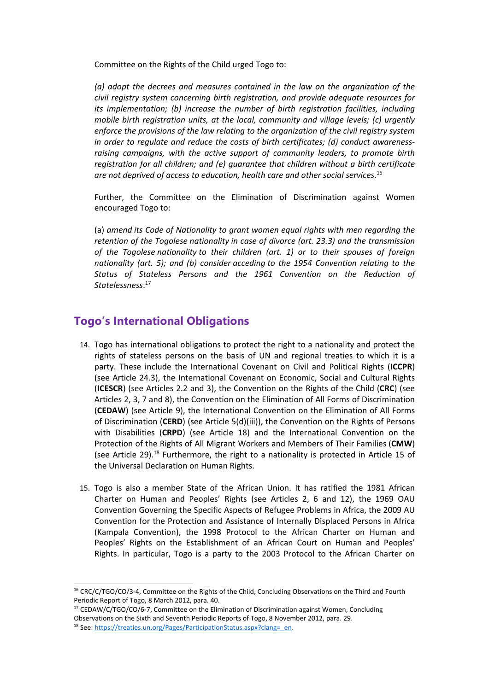Committee on the Rights of the Child urged Togo to:

*(a) adopt the decrees and measures contained in the law on the organization of the civil registry system concerning birth registration, and provide adequate resources for its implementation; (b) increase the number of birth registration facilities, including mobile birth registration units, at the local, community and village levels; (c) urgently enforce the provisions of the law relating to the organization of the civil registry system in order to regulate and reduce the costs of birth certificates; (d) conduct awarenessraising campaigns, with the active support of community leaders, to promote birth registration for all children; and (e) guarantee that children without <sup>a</sup> birth certificate are not deprived of access to education, health care and other social services*. 16

Further, the Committee on the Elimination of Discrimination against Women encouraged Togo to:

(a) *amend its Code of Nationality to grant women equal rights with men regarding the retention of the Togolese nationality in case of divorce (art. 23.3) and the transmission of the Togolese nationality to their children (art. 1) or to their spouses of foreign nationality (art. 5); and (b) consider acceding to the 1954 Convention relating to the Status of Stateless Persons and the 1961 Convention on the Reduction of Statelessness*. 17

#### **Togo'<sup>s</sup> International Obligations**

- 14. Togo has international obligations to protect the right to <sup>a</sup> nationality and protect the rights of stateless persons on the basis of UN and regional treaties to which it is <sup>a</sup> party. These include the International Covenant on Civil and Political Rights (**ICCPR**) (see Article 24.3), the International Covenant on Economic, Social and Cultural Rights (**ICESCR**) (see Articles 2.2 and 3), the Convention on the Rights of the Child (**CRC**) (see Articles 2, 3, 7 and 8), the Convention on the Elimination of All Forms of Discrimination (**CEDAW**) (see Article 9), the International Convention on the Elimination of All Forms of Discrimination (**CERD**) (see Article 5(d)(iii)), the Convention on the Rights of Persons with Disabilities (**CRPD**) (see Article 18) and the International Convention on the Protection of the Rights of All Migrant Workers and Members of Their Families (**CMW**) (see Article 29).<sup>18</sup> Furthermore, the right to a nationality is protected in Article 15 of the Universal Declaration on Human Rights.
- 15. Togo is also <sup>a</sup> member State of the African Union. It has ratified the 1981 African Charter on Human and Peoples' Rights (see Articles 2, 6 and 12), the 1969 OAU Convention Governing the Specific Aspects of Refugee Problems in Africa, the 2009 AU Convention for the Protection and Assistance of Internally Displaced Persons in Africa (Kampala Convention), the 1998 Protocol to the African Charter on Human and Peoples' Rights on the Establishment of an African Court on Human and Peoples' Rights. In particular, Togo is <sup>a</sup> party to the 2003 Protocol to the African Charter on

4

<sup>&</sup>lt;sup>16</sup> CRC/C/TGO/CO/3-4, Committee on the Rights of the Child, Concluding Observations on the Third and Fourth Periodic Report of Togo, 8 March 2012, para. 40.

<sup>&</sup>lt;sup>17</sup> CEDAW/C/TGO/CO/6-7, Committee on the Elimination of Discrimination against Women, Concluding Observations on the Sixth and Seventh Periodic Reports of Togo, 8 November 2012, para. 29. <sup>18</sup> See: [https://treaties.un.org/Pages/ParticipationStatus.aspx?clang=\\_en](https://treaties.un.org/Pages/ParticipationStatus.aspx?clang=_en).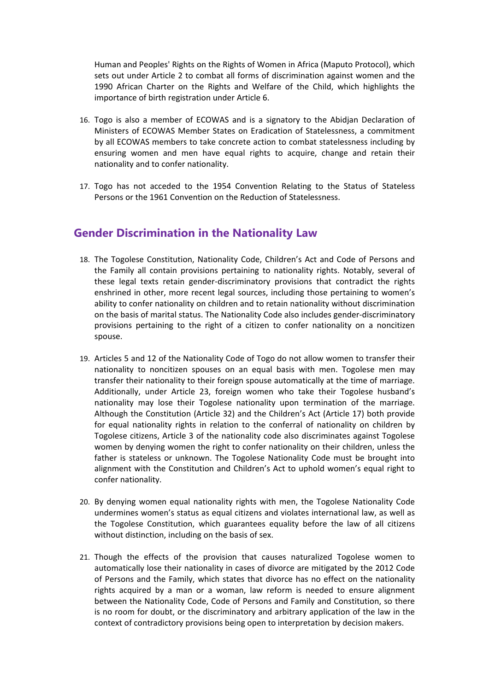Human and Peoples' Rights on the Rights of Women in Africa (Maputo Protocol), which sets out under Article 2 to combat all forms of discrimination against women and the 1990 African Charter on the Rights and Welfare of the Child, which highlights the importance of birth registration under Article 6.

- 16. Togo is also <sup>a</sup> member of ECOWAS and is <sup>a</sup> signatory to the Abidjan Declaration of Ministers of ECOWAS Member States on Eradication of Statelessness, <sup>a</sup> commitment by all ECOWAS members to take concrete action to combat statelessness including by ensuring women and men have equal rights to acquire, change and retain their nationality and to confer nationality.
- 17. Togo has not acceded to the 1954 Convention Relating to the Status of Stateless Persons or the 1961 Convention on the Reduction of Statelessness.

#### **Gender Discrimination in the Nationality Law**

- 18. The Togolese Constitution, Nationality Code, Children'<sup>s</sup> Act and Code of Persons and the Family all contain provisions pertaining to nationality rights. Notably, several of these legal texts retain gender-discriminatory provisions that contradict the rights enshrined in other, more recent legal sources, including those pertaining to women'<sup>s</sup> ability to confer nationality on children and to retain nationality without discrimination on the basis of marital status. The Nationality Code also includes gender-discriminatory provisions pertaining to the right of <sup>a</sup> citizen to confer nationality on <sup>a</sup> noncitizen spouse.
- 19. Articles 5 and 12 of the Nationality Code of Togo do not allow women to transfer their nationality to noncitizen spouses on an equal basis with men. Togolese men may transfer their nationality to their foreign spouse automatically at the time of marriage. Additionally, under Article 23, foreign women who take their Togolese husband'<sup>s</sup> nationality may lose their Togolese nationality upon termination of the marriage. Although the Constitution (Article 32) and the Children'<sup>s</sup> Act (Article 17) both provide for equal nationality rights in relation to the conferral of nationality on children by Togolese citizens, Article 3 of the nationality code also discriminates against Togolese women by denying women the right to confer nationality on their children, unless the father is stateless or unknown. The Togolese Nationality Code must be brought into alignment with the Constitution and Children'<sup>s</sup> Act to uphold women'<sup>s</sup> equal right to confer nationality.
- 20. By denying women equal nationality rights with men, the Togolese Nationality Code undermines women'<sup>s</sup> status as equal citizens and violates international law, as well as the Togolese Constitution, which guarantees equality before the law of all citizens without distinction, including on the basis of sex.
- 21. Though the effects of the provision that causes naturalized Togolese women to automatically lose their nationality in cases of divorce are mitigated by the 2012 Code of Persons and the Family, which states that divorce has no effect on the nationality rights acquired by <sup>a</sup> man or <sup>a</sup> woman, law reform is needed to ensure alignment between the Nationality Code, Code of Persons and Family and Constitution, so there is no room for doubt, or the discriminatory and arbitrary application of the law in the context of contradictory provisions being open to interpretation by decision makers.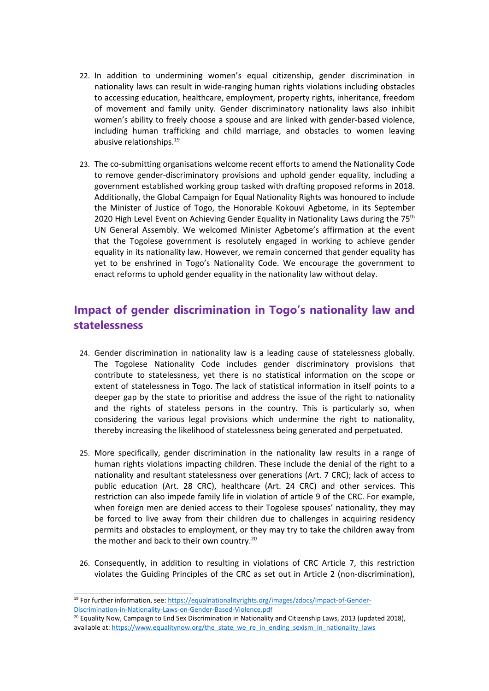- 22. In addition to undermining women'<sup>s</sup> equal citizenship, gender discrimination in nationality laws can result in wide-ranging human rights violations including obstacles to accessing education, healthcare, employment, property rights, inheritance, freedom of movement and family unity. Gender discriminatory nationality laws also inhibit women'<sup>s</sup> ability to freely choose <sup>a</sup> spouse and are linked with gender-based violence, including human trafficking and child marriage, and obstacles to women leaving abusive relationships.<sup>19</sup>
- 23. The co-submitting organisations welcome recent efforts to amend the Nationality Code to remove gender-discriminatory provisions and uphold gender equality, including <sup>a</sup> government established working group tasked with drafting proposed reforms in 2018. Additionally, the Global Campaign for Equal Nationality Rights was honoured to include the Minister of Justice of Togo, the Honorable Kokouvi Agbetome, in its September 2020 High Level Event on Achieving Gender Equality in Nationality Laws during the 75<sup>th</sup> UN General Assembly. We welcomed Minister Agbetome'<sup>s</sup> affirmation at the event that the Togolese government is resolutely engaged in working to achieve gender equality in its nationality law. However, we remain concerned that gender equality has yet to be enshrined in Togo'<sup>s</sup> Nationality Code. We encourage the government to enact reforms to uphold gender equality in the nationality law without delay.

# **Impact of gender discrimination in Togo'<sup>s</sup> nationality law and statelessness**

- 24. Gender discrimination in nationality law is <sup>a</sup> leading cause of statelessness globally. The Togolese Nationality Code includes gender discriminatory provisions that contribute to statelessness, yet there is no statistical information on the scope or extent of statelessness in Togo. The lack of statistical information in itself points to <sup>a</sup> deeper gap by the state to prioritise and address the issue of the right to nationality and the rights of stateless persons in the country. This is particularly so, when considering the various legal provisions which undermine the right to nationality, thereby increasing the likelihood of statelessness being generated and perpetuated.
- 25. More specifically, gender discrimination in the nationality law results in <sup>a</sup> range of human rights violations impacting children. These include the denial of the right to <sup>a</sup> nationality and resultant statelessness over generations (Art. 7 CRC); lack of access to public education (Art. 28 CRC), healthcare (Art. 24 CRC) and other services. This restriction can also impede family life in violation of article 9 of the CRC. For example, when foreign men are denied access to their Togolese spouses' nationality, they may be forced to live away from their children due to challenges in acquiring residency permits and obstacles to employment, or they may try to take the children away from the mother and back to their own country.<sup>20</sup>
- 26. Consequently, in addition to resulting in violations of CRC Article 7, this restriction violates the Guiding Principles of the CRC as set out in Article 2 (non-discrimination),

<sup>&</sup>lt;sup>19</sup> For further information, see: [https://equalnationalityrights.org/images/zdocs/Impact-of-Gender-](https://equalnationalityrights.org/images/zdocs/Impact-of-Gender-Discrimination-in-Nationality-Laws-on-Gender-Based-Violence.pdf)[Discrimination-in-Nationality-Laws-on-Gender-Based-Violence.pdf](https://equalnationalityrights.org/images/zdocs/Impact-of-Gender-Discrimination-in-Nationality-Laws-on-Gender-Based-Violence.pdf)

<sup>&</sup>lt;sup>20</sup> Equality Now, Campaign to End Sex Discrimination in Nationality and Citizenship Laws, 2013 (updated 2018), available at: [https://www.equalitynow.org/the\\_state\\_we\\_re\\_in\\_ending\\_sexism\\_in\\_nationality\\_laws](https://www.equalitynow.org/the_state_we_re_in_ending_sexism_in_nationality_laws)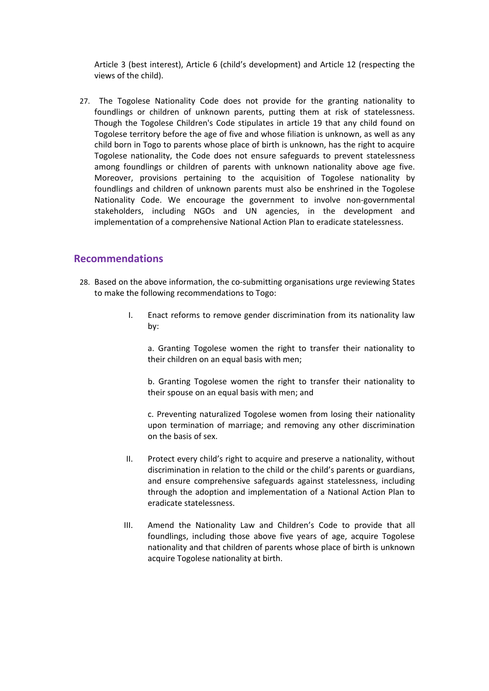Article 3 (best interest), Article 6 (child'<sup>s</sup> development) and Article 12 (respecting the views of the child).

27. The Togolese Nationality Code does not provide for the granting nationality to foundlings or children of unknown parents, putting them at risk of statelessness. Though the Togolese Children's Code stipulates in article 19 that any child found on Togolese territory before the age of five and whose filiation is unknown, as well as any child born in Togo to parents whose place of birth is unknown, has the right to acquire Togolese nationality, the Code does not ensure safeguards to prevent statelessness among foundlings or children of parents with unknown nationality above age five. Moreover, provisions pertaining to the acquisition of Togolese nationality by foundlings and children of unknown parents must also be enshrined in the Togolese Nationality Code. We encourage the government to involve non-governmental stakeholders, including NGOs and UN agencies, in the development and implementation of <sup>a</sup> comprehensive National Action Plan to eradicate statelessness.

#### **Recommendations**

- 28. Based on the above information, the co-submitting organisations urge reviewing States to make the following recommendations to Togo:
	- I. Enact reforms to remove gender discrimination from its nationality law by:

a. Granting Togolese women the right to transfer their nationality to their children on an equal basis with men;

b. Granting Togolese women the right to transfer their nationality to their spouse on an equal basis with men; and

c. Preventing naturalized Togolese women from losing their nationality upon termination of marriage; and removing any other discrimination on the basis of sex.

- II. Protect every child'<sup>s</sup> right to acquire and preserve <sup>a</sup> nationality, without discrimination in relation to the child or the child'<sup>s</sup> parents or guardians, and ensure comprehensive safeguards against statelessness, including through the adoption and implementation of <sup>a</sup> National Action Plan to eradicate statelessness.
- III. Amend the Nationality Law and Children'<sup>s</sup> Code to provide that all foundlings, including those above five years of age, acquire Togolese nationality and that children of parents whose place of birth is unknown acquire Togolese nationality at birth.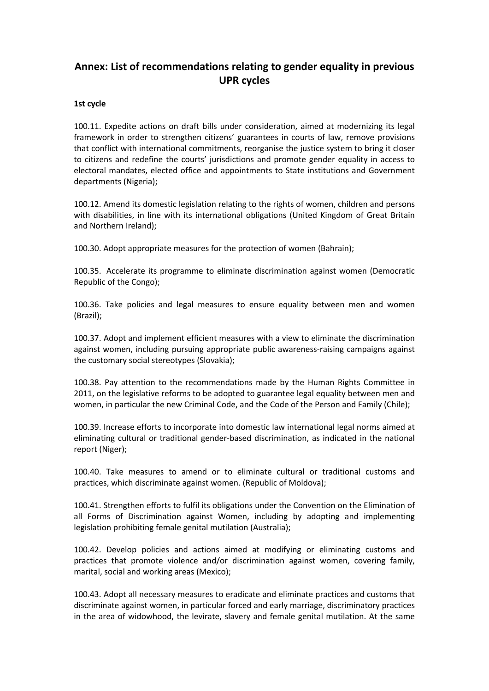## **Annex: List of recommendations relating to gender equality in previous UPR cycles**

#### **1st cycle**

100.11. Expedite actions on draft bills under consideration, aimed at modernizing its legal framework in order to strengthen citizens' guarantees in courts of law, remove provisions that conflict with international commitments, reorganise the justice system to bring it closer to citizens and redefine the courts' jurisdictions and promote gender equality in access to electoral mandates, elected office and appointments to State institutions and Government departments (Nigeria);

100.12. Amend its domestic legislation relating to the rights of women, children and persons with disabilities, in line with its international obligations (United Kingdom of Great Britain and Northern Ireland);

100.30. Adopt appropriate measures for the protection of women (Bahrain);

100.35. Accelerate its programme to eliminate discrimination against women (Democratic Republic of the Congo);

100.36. Take policies and legal measures to ensure equality between men and women (Brazil);

100.37. Adopt and implement efficient measures with <sup>a</sup> view to eliminate the discrimination against women, including pursuing appropriate public awareness-raising campaigns against the customary social stereotypes (Slovakia);

100.38. Pay attention to the recommendations made by the Human Rights Committee in 2011, on the legislative reforms to be adopted to guarantee legal equality between men and women, in particular the new Criminal Code, and the Code of the Person and Family (Chile);

100.39. Increase efforts to incorporate into domestic law international legal norms aimed at eliminating cultural or traditional gender-based discrimination, as indicated in the national report (Niger);

100.40. Take measures to amend or to eliminate cultural or traditional customs and practices, which discriminate against women. (Republic of Moldova);

100.41. Strengthen efforts to fulfil its obligations under the Convention on the Elimination of all Forms of Discrimination against Women, including by adopting and implementing legislation prohibiting female genital mutilation (Australia);

100.42. Develop policies and actions aimed at modifying or eliminating customs and practices that promote violence and/or discrimination against women, covering family, marital, social and working areas (Mexico);

100.43. Adopt all necessary measures to eradicate and eliminate practices and customs that discriminate against women, in particular forced and early marriage, discriminatory practices in the area of widowhood, the levirate, slavery and female genital mutilation. At the same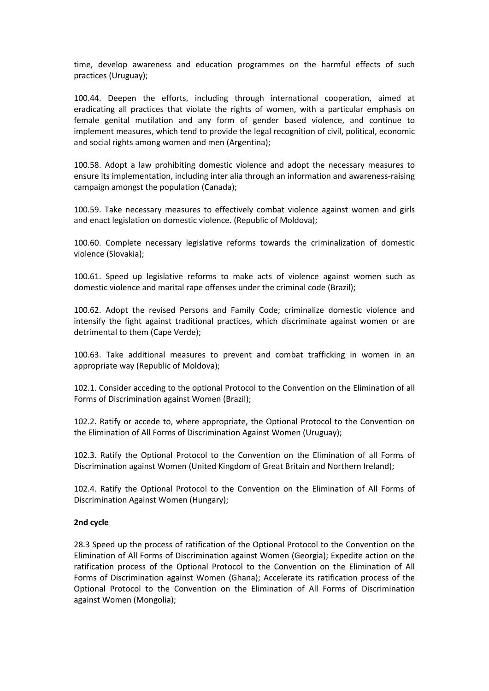time, develop awareness and education programmes on the harmful effects of such practices (Uruguay);

100.44. Deepen the efforts, including through international cooperation, aimed at eradicating all practices that violate the rights of women, with <sup>a</sup> particular emphasis on female genital mutilation and any form of gender based violence, and continue to implement measures, which tend to provide the legal recognition of civil, political, economic and social rights among women and men (Argentina);

100.58. Adopt <sup>a</sup> law prohibiting domestic violence and adopt the necessary measures to ensure its implementation, including inter alia through an information and awareness-raising campaign amongst the population (Canada);

100.59. Take necessary measures to effectively combat violence against women and girls and enact legislation on domestic violence. (Republic of Moldova);

100.60. Complete necessary legislative reforms towards the criminalization of domestic violence (Slovakia);

100.61. Speed up legislative reforms to make acts of violence against women such as domestic violence and marital rape offenses under the criminal code (Brazil);

100.62. Adopt the revised Persons and Family Code; criminalize domestic violence and intensify the fight against traditional practices, which discriminate against women or are detrimental to them (Cape Verde);

100.63. Take additional measures to prevent and combat trafficking in women in an appropriate way (Republic of Moldova);

102.1. Consider acceding to the optional Protocol to the Convention on the Elimination of all Forms of Discrimination against Women (Brazil);

102.2. Ratify or accede to, where appropriate, the Optional Protocol to the Convention on the Elimination of All Forms of Discrimination Against Women (Uruguay);

102.3. Ratify the Optional Protocol to the Convention on the Elimination of all Forms of Discrimination against Women (United Kingdom of Great Britain and Northern Ireland);

102.4. Ratify the Optional Protocol to the Convention on the Elimination of All Forms of Discrimination Against Women (Hungary);

#### **2nd cycle**

28.3 Speed up the process of ratification of the Optional Protocol to the Convention on the Elimination of All Forms of Discrimination against Women (Georgia); Expedite action on the ratification process of the Optional Protocol to the Convention on the Elimination of All Forms of Discrimination against Women (Ghana); Accelerate its ratification process of the Optional Protocol to the Convention on the Elimination of All Forms of Discrimination against Women (Mongolia);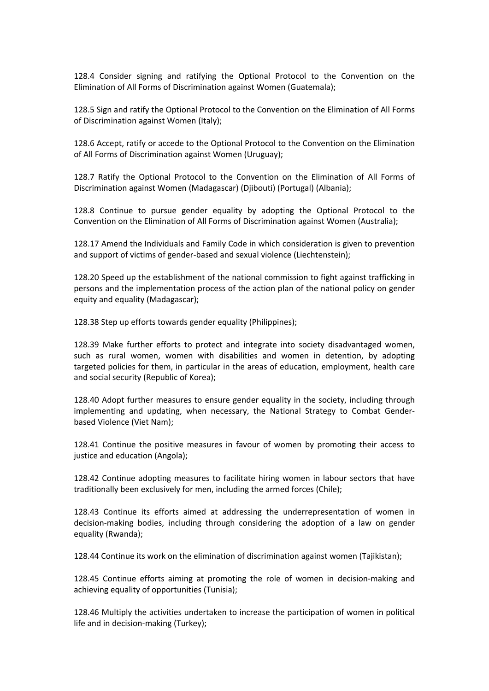128.4 Consider signing and ratifying the Optional Protocol to the Convention on the Elimination of All Forms of Discrimination against Women (Guatemala);

128.5 Sign and ratify the Optional Protocol to the Convention on the Elimination of All Forms of Discrimination against Women (Italy);

128.6 Accept, ratify or accede to the Optional Protocol to the Convention on the Elimination of All Forms of Discrimination against Women (Uruguay);

128.7 Ratify the Optional Protocol to the Convention on the Elimination of All Forms of Discrimination against Women (Madagascar) (Djibouti) (Portugal) (Albania);

128.8 Continue to pursue gender equality by adopting the Optional Protocol to the Convention on the Elimination of All Forms of Discrimination against Women (Australia);

128.17 Amend the Individuals and Family Code in which consideration is given to prevention and support of victims of gender-based and sexual violence (Liechtenstein);

128.20 Speed up the establishment of the national commission to fight against trafficking in persons and the implementation process of the action plan of the national policy on gender equity and equality (Madagascar);

128.38 Step up efforts towards gender equality (Philippines);

128.39 Make further efforts to protect and integrate into society disadvantaged women, such as rural women, women with disabilities and women in detention, by adopting targeted policies for them, in particular in the areas of education, employment, health care and social security (Republic of Korea);

128.40 Adopt further measures to ensure gender equality in the society, including through implementing and updating, when necessary, the National Strategy to Combat Genderbased Violence (Viet Nam);

128.41 Continue the positive measures in favour of women by promoting their access to justice and education (Angola):

128.42 Continue adopting measures to facilitate hiring women in labour sectors that have traditionally been exclusively for men, including the armed forces (Chile);

128.43 Continue its efforts aimed at addressing the underrepresentation of women in decision-making bodies, including through considering the adoption of <sup>a</sup> law on gender equality (Rwanda);

128.44 Continue its work on the elimination of discrimination against women (Tajikistan);

128.45 Continue efforts aiming at promoting the role of women in decision-making and achieving equality of opportunities (Tunisia);

128.46 Multiply the activities undertaken to increase the participation of women in political life and in decision-making (Turkey);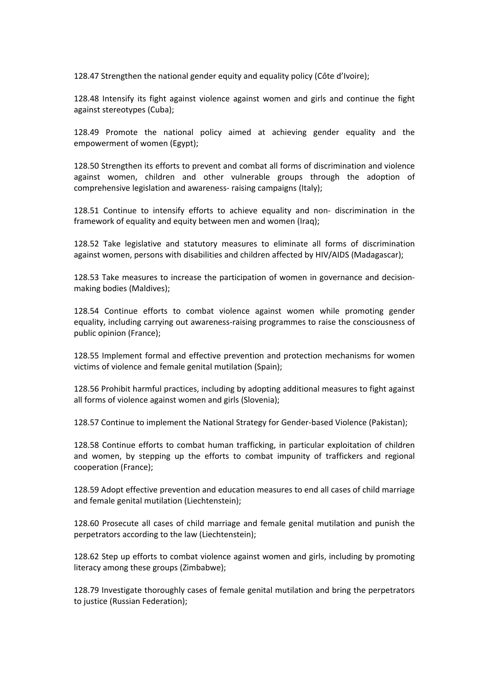128.47 Strengthen the national gender equity and equality policy (Côte d'Ivoire);

128.48 Intensify its fight against violence against women and girls and continue the fight against stereotypes (Cuba);

128.49 Promote the national policy aimed at achieving gender equality and the empowerment of women (Egypt);

128.50 Strengthen its efforts to prevent and combat all forms of discrimination and violence against women, children and other vulnerable groups through the adoption of comprehensive legislation and awareness- raising campaigns (Italy);

128.51 Continue to intensify efforts to achieve equality and non- discrimination in the framework of equality and equity between men and women (Iraq);

128.52 Take legislative and statutory measures to eliminate all forms of discrimination against women, persons with disabilities and children affected by HIV/AIDS (Madagascar);

128.53 Take measures to increase the participation of women in governance and decisionmaking bodies (Maldives);

128.54 Continue efforts to combat violence against women while promoting gender equality, including carrying out awareness-raising programmes to raise the consciousness of public opinion (France);

128.55 Implement formal and effective prevention and protection mechanisms for women victims of violence and female genital mutilation (Spain);

128.56 Prohibit harmful practices, including by adopting additional measures to fight against all forms of violence against women and girls (Slovenia);

128.57 Continue to implement the National Strategy for Gender-based Violence (Pakistan);

128.58 Continue efforts to combat human trafficking, in particular exploitation of children and women, by stepping up the efforts to combat impunity of traffickers and regional cooperation (France);

128.59 Adopt effective prevention and education measures to end all cases of child marriage and female genital mutilation (Liechtenstein);

128.60 Prosecute all cases of child marriage and female genital mutilation and punish the perpetrators according to the law (Liechtenstein);

128.62 Step up efforts to combat violence against women and girls, including by promoting literacy among these groups (Zimbabwe);

128.79 Investigate thoroughly cases of female genital mutilation and bring the perpetrators to justice (Russian Federation);